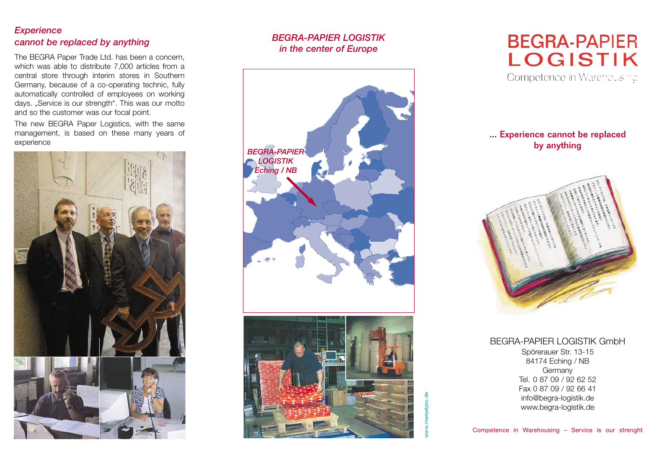## *Experience cannot be replaced by anything*

The BEGRA Paper Trade Ltd. has been a concern, which was able to distribute 7,000 articles from a central store through interim stores in Southern Germany, because of a co-operating technic, fully automatically controlled of employees on working days. "Service is our strength". This was our motto and so the customer was our focal point.

The new BEGRA Paper Logistics, with the same management, is based on these many years of experience



# *BEGRA-PAPIER LOGISTIK in the center of Europe*



# **BEGRA-PAPIER LOGISTIK**

Competence in Warehousing

# ... Experience cannot be replaced by anything



BEGRA-PAPIER LOGISTIK GmbH Spörerauer Str. 13-15 84174 Eching / NB Germany Tel. 0 87 09 / 92 62 52 Fax 0 87 09 / 92 66 41 info@begra-logistik.de www.begra-logistik.de